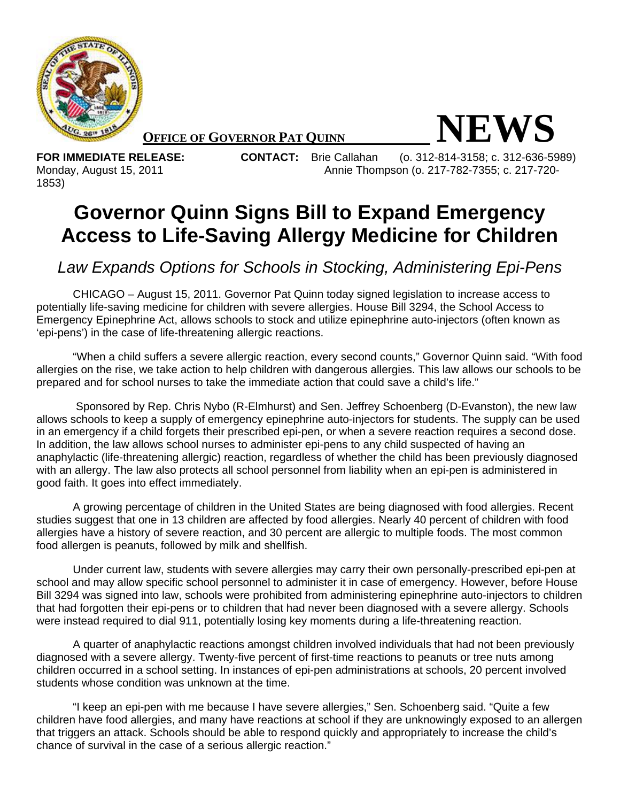

**OFFICE OF GOVERNOR PAT QUINN NEWS** 

1853)

**FOR IMMEDIATE RELEASE: CONTACT:** Brie Callahan (o. 312-814-3158; c. 312-636-5989) Monday, August 15, 2011 Annie Thompson (o. 217-782-7355; c. 217-720-

## **Governor Quinn Signs Bill to Expand Emergency Access to Life-Saving Allergy Medicine for Children**

*Law Expands Options for Schools in Stocking, Administering Epi-Pens* 

CHICAGO – August 15, 2011. Governor Pat Quinn today signed legislation to increase access to potentially life-saving medicine for children with severe allergies. House Bill 3294, the School Access to Emergency Epinephrine Act, allows schools to stock and utilize epinephrine auto-injectors (often known as 'epi-pens') in the case of life-threatening allergic reactions.

"When a child suffers a severe allergic reaction, every second counts," Governor Quinn said. "With food allergies on the rise, we take action to help children with dangerous allergies. This law allows our schools to be prepared and for school nurses to take the immediate action that could save a child's life."

 Sponsored by Rep. Chris Nybo (R-Elmhurst) and Sen. Jeffrey Schoenberg (D-Evanston), the new law allows schools to keep a supply of emergency epinephrine auto-injectors for students. The supply can be used in an emergency if a child forgets their prescribed epi-pen, or when a severe reaction requires a second dose. In addition, the law allows school nurses to administer epi-pens to any child suspected of having an anaphylactic (life-threatening allergic) reaction, regardless of whether the child has been previously diagnosed with an allergy. The law also protects all school personnel from liability when an epi-pen is administered in good faith. It goes into effect immediately.

A growing percentage of children in the United States are being diagnosed with food allergies. Recent studies suggest that one in 13 children are affected by food allergies. Nearly 40 percent of children with food allergies have a history of severe reaction, and 30 percent are allergic to multiple foods. The most common food allergen is peanuts, followed by milk and shellfish.

Under current law, students with severe allergies may carry their own personally-prescribed epi-pen at school and may allow specific school personnel to administer it in case of emergency. However, before House Bill 3294 was signed into law, schools were prohibited from administering epinephrine auto-injectors to children that had forgotten their epi-pens or to children that had never been diagnosed with a severe allergy. Schools were instead required to dial 911, potentially losing key moments during a life-threatening reaction.

A quarter of anaphylactic reactions amongst children involved individuals that had not been previously diagnosed with a severe allergy. Twenty-five percent of first-time reactions to peanuts or tree nuts among children occurred in a school setting. In instances of epi-pen administrations at schools, 20 percent involved students whose condition was unknown at the time.

"I keep an epi-pen with me because I have severe allergies," Sen. Schoenberg said. "Quite a few children have food allergies, and many have reactions at school if they are unknowingly exposed to an allergen that triggers an attack. Schools should be able to respond quickly and appropriately to increase the child's chance of survival in the case of a serious allergic reaction."